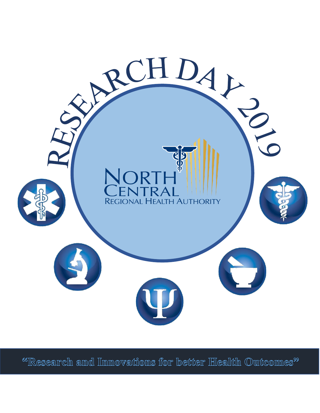

<sup>66</sup>IResearch and Innovations for better Health Outcomes<sup>99</sup>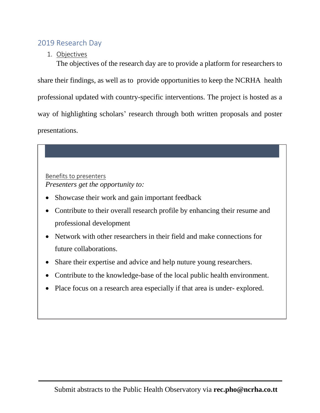## 2019 Research Day

1. Objectives

The objectives of the research day are to provide a platform for researchers to share their findings, as well as to provide opportunities to keep the NCRHA health professional updated with country-specific interventions. The project is hosted as a way of highlighting scholars' research through both written proposals and poster presentations.

Benefits to presenters *Presenters get the opportunity to:*

- Showcase their work and gain important feedback
- Contribute to their overall research profile by enhancing their resume and professional development
- Network with other researchers in their field and make connections for future collaborations.
- Share their expertise and advice and help nuture young researchers.
- Contribute to the knowledge-base of the local public health environment.
- Place focus on a research area especially if that area is under-explored.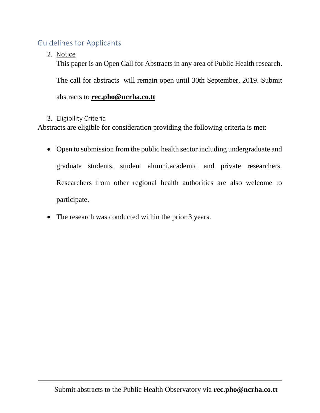## Guidelines for Applicants

2. Notice

This paper is an Open Call for Abstracts in any area of Public Health research.

The call for abstracts will remain open until 30th September, 2019. Submit

## abstracts to **rec.pho@ncrha.co.tt**

## 3. Eligibility Criteria

Abstracts are eligible for consideration providing the following criteria is met:

- Open to submission from the public health sector including undergraduate and graduate students, student alumni,academic and private researchers. Researchers from other regional health authorities are also welcome to participate.
- The research was conducted within the prior 3 years.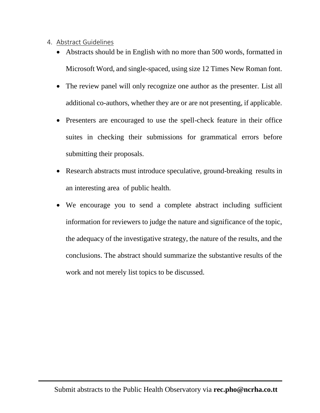- 4. Abstract Guidelines
	- Abstracts should be in English with no more than 500 words, formatted in Microsoft Word, and single-spaced, using size 12 Times New Roman font.
	- The review panel will only recognize one author as the presenter. List all additional co-authors, whether they are or are not presenting, if applicable.
	- Presenters are encouraged to use the spell-check feature in their office suites in checking their submissions for grammatical errors before submitting their proposals.
	- Research abstracts must introduce speculative, ground-breaking results in an interesting area of public health.
	- We encourage you to send a complete abstract including sufficient information for reviewers to judge the nature and significance of the topic, the adequacy of the investigative strategy, the nature of the results, and the conclusions. The abstract should summarize the substantive results of the work and not merely list topics to be discussed.